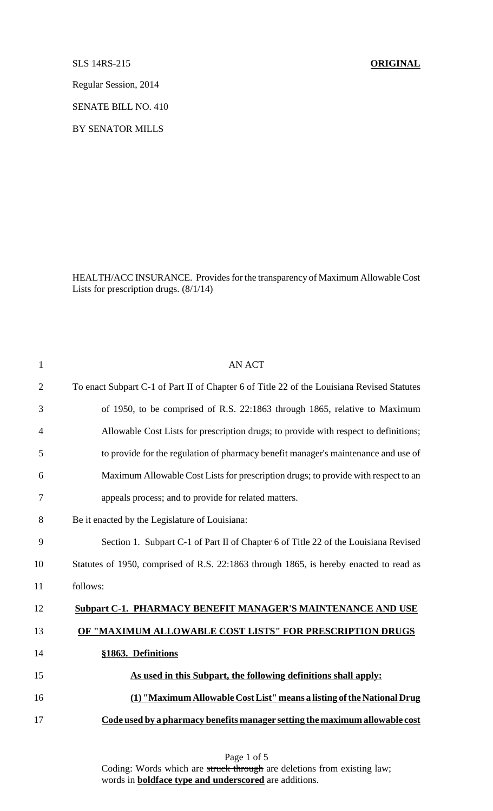SLS 14RS-215 **ORIGINAL**

Regular Session, 2014

SENATE BILL NO. 410

BY SENATOR MILLS

HEALTH/ACC INSURANCE. Provides for the transparency of Maximum Allowable Cost Lists for prescription drugs. (8/1/14)

| $\mathbf{1}$   | <b>AN ACT</b>                                                                              |
|----------------|--------------------------------------------------------------------------------------------|
| $\overline{2}$ | To enact Subpart C-1 of Part II of Chapter 6 of Title 22 of the Louisiana Revised Statutes |
| 3              | of 1950, to be comprised of R.S. 22:1863 through 1865, relative to Maximum                 |
| 4              | Allowable Cost Lists for prescription drugs; to provide with respect to definitions;       |
| 5              | to provide for the regulation of pharmacy benefit manager's maintenance and use of         |
| 6              | Maximum Allowable Cost Lists for prescription drugs; to provide with respect to an         |
| 7              | appeals process; and to provide for related matters.                                       |
| 8              | Be it enacted by the Legislature of Louisiana:                                             |
| 9              | Section 1. Subpart C-1 of Part II of Chapter 6 of Title 22 of the Louisiana Revised        |
| 10             | Statutes of 1950, comprised of R.S. 22:1863 through 1865, is hereby enacted to read as     |
| 11             | follows:                                                                                   |
| 12             | <b>Subpart C-1. PHARMACY BENEFIT MANAGER'S MAINTENANCE AND USE</b>                         |
| 13             | OF "MAXIMUM ALLOWABLE COST LISTS" FOR PRESCRIPTION DRUGS                                   |
| 14             | §1863. Definitions                                                                         |
| 15             | As used in this Subpart, the following definitions shall apply:                            |
| 16             | (1) "Maximum Allowable Cost List" means a listing of the National Drug                     |
| 17             | Code used by a pharmacy benefits manager setting the maximum allowable cost                |
|                |                                                                                            |

Page 1 of 5 Coding: Words which are struck through are deletions from existing law; words in **boldface type and underscored** are additions.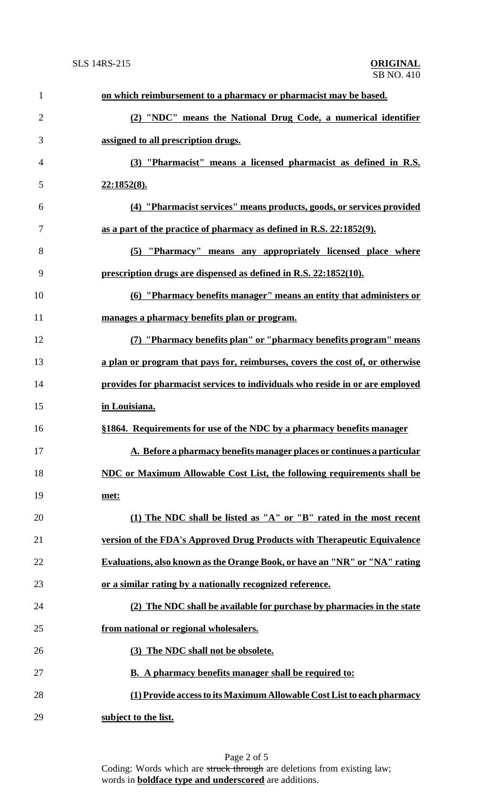| $\mathbf{1}$   | on which reimbursement to a pharmacy or pharmacist may be based.              |
|----------------|-------------------------------------------------------------------------------|
| $\overline{2}$ | (2) "NDC" means the National Drug Code, a numerical identifier                |
| 3              | assigned to all prescription drugs.                                           |
| $\overline{4}$ | (3) "Pharmacist" means a licensed pharmacist as defined in R.S.               |
| 5              | <u>22:1852(8).</u>                                                            |
| 6              | (4) "Pharmacist services" means products, goods, or services provided         |
| 7              | as a part of the practice of pharmacy as defined in R.S. 22:1852(9).          |
| 8              | (5) "Pharmacy" means any appropriately licensed place where                   |
| 9              | prescription drugs are dispensed as defined in R.S. 22:1852(10).              |
| 10             | (6) "Pharmacy benefits manager" means an entity that administers or           |
| 11             | manages a pharmacy benefits plan or program.                                  |
| 12             | (7) "Pharmacy benefits plan" or "pharmacy benefits program" means             |
| 13             | a plan or program that pays for, reimburses, covers the cost of, or otherwise |
| 14             | provides for pharmacist services to individuals who reside in or are employed |
| 15             | in Louisiana.                                                                 |
| 16             | §1864. Requirements for use of the NDC by a pharmacy benefits manager         |
| 17             | A. Before a pharmacy benefits manager places or continues a particular        |
| 18             | NDC or Maximum Allowable Cost List, the following requirements shall be       |
| 19             | met:                                                                          |
| 20             | (1) The NDC shall be listed as "A" or "B" rated in the most recent            |
| 21             | version of the FDA's Approved Drug Products with Therapeutic Equivalence      |
| 22             | Evaluations, also known as the Orange Book, or have an "NR" or "NA" rating    |
| 23             | or a similar rating by a nationally recognized reference.                     |
| 24             | (2) The NDC shall be available for purchase by pharmacies in the state        |
| 25             | from national or regional wholesalers.                                        |
| 26             | (3) The NDC shall not be obsolete.                                            |
| 27             | <b>B.</b> A pharmacy benefits manager shall be required to:                   |
| 28             | (1) Provide access to its Maximum Allowable Cost List to each pharmacy        |
| 29             | subject to the list.                                                          |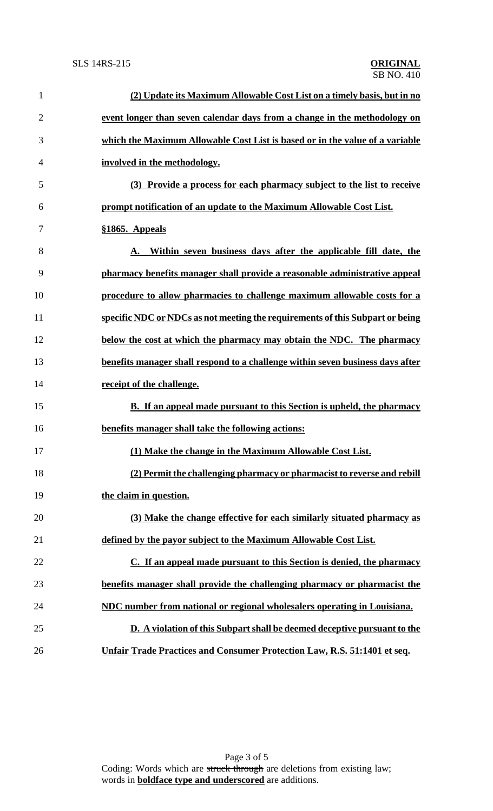| $\mathbf{1}$   | (2) Update its Maximum Allowable Cost List on a timely basis, but in no         |
|----------------|---------------------------------------------------------------------------------|
| $\overline{2}$ | event longer than seven calendar days from a change in the methodology on       |
| 3              | which the Maximum Allowable Cost List is based or in the value of a variable    |
| 4              | involved in the methodology.                                                    |
| 5              | (3) Provide a process for each pharmacy subject to the list to receive          |
| 6              | prompt notification of an update to the Maximum Allowable Cost List.            |
| 7              | §1865. Appeals                                                                  |
| 8              | Within seven business days after the applicable fill date, the<br>A.            |
| 9              | pharmacy benefits manager shall provide a reasonable administrative appeal      |
| 10             | procedure to allow pharmacies to challenge maximum allowable costs for a        |
| 11             | specific NDC or NDCs as not meeting the requirements of this Subpart or being   |
| 12             | below the cost at which the pharmacy may obtain the NDC. The pharmacy           |
| 13             | benefits manager shall respond to a challenge within seven business days after  |
| 14             | receipt of the challenge.                                                       |
| 15             | <b>B.</b> If an appeal made pursuant to this Section is upheld, the pharmacy    |
| 16             | benefits manager shall take the following actions:                              |
| 17             | (1) Make the change in the Maximum Allowable Cost List.                         |
| 18             | (2) Permit the challenging pharmacy or pharmacist to reverse and rebill         |
| 19             | the claim in question.                                                          |
| 20             | (3) Make the change effective for each similarly situated pharmacy as           |
| 21             | defined by the payor subject to the Maximum Allowable Cost List.                |
| 22             | C. If an appeal made pursuant to this Section is denied, the pharmacy           |
| 23             | benefits manager shall provide the challenging pharmacy or pharmacist the       |
| 24             | NDC number from national or regional wholesalers operating in Louisiana.        |
| 25             | D. A violation of this Subpart shall be deemed deceptive pursuant to the        |
| 26             | <b>Unfair Trade Practices and Consumer Protection Law, R.S. 51:1401 et seq.</b> |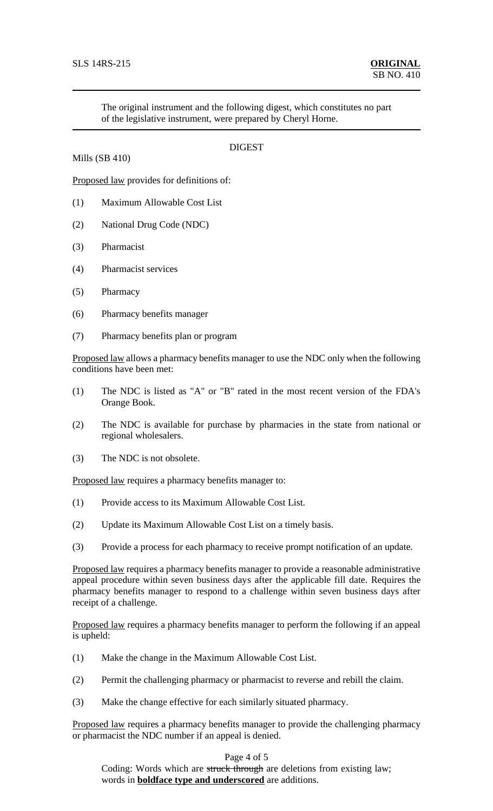Mills (SB 410)

The original instrument and the following digest, which constitutes no part of the legislative instrument, were prepared by Cheryl Horne.

## **DIGEST**

Proposed law provides for definitions of:

- (1) Maximum Allowable Cost List
- (2) National Drug Code (NDC)
- (3) Pharmacist
- (4) Pharmacist services
- (5) Pharmacy
- (6) Pharmacy benefits manager
- (7) Pharmacy benefits plan or program

Proposed law allows a pharmacy benefits manager to use the NDC only when the following conditions have been met:

- (1) The NDC is listed as "A" or "B" rated in the most recent version of the FDA's Orange Book.
- (2) The NDC is available for purchase by pharmacies in the state from national or regional wholesalers.
- (3) The NDC is not obsolete.

Proposed law requires a pharmacy benefits manager to:

- (1) Provide access to its Maximum Allowable Cost List.
- (2) Update its Maximum Allowable Cost List on a timely basis.
- (3) Provide a process for each pharmacy to receive prompt notification of an update.

Proposed law requires a pharmacy benefits manager to provide a reasonable administrative appeal procedure within seven business days after the applicable fill date. Requires the pharmacy benefits manager to respond to a challenge within seven business days after receipt of a challenge.

Proposed law requires a pharmacy benefits manager to perform the following if an appeal is upheld:

- (1) Make the change in the Maximum Allowable Cost List.
- (2) Permit the challenging pharmacy or pharmacist to reverse and rebill the claim.
- (3) Make the change effective for each similarly situated pharmacy.

Proposed law requires a pharmacy benefits manager to provide the challenging pharmacy or pharmacist the NDC number if an appeal is denied.

## Page 4 of 5

Coding: Words which are struck through are deletions from existing law; words in **boldface type and underscored** are additions.